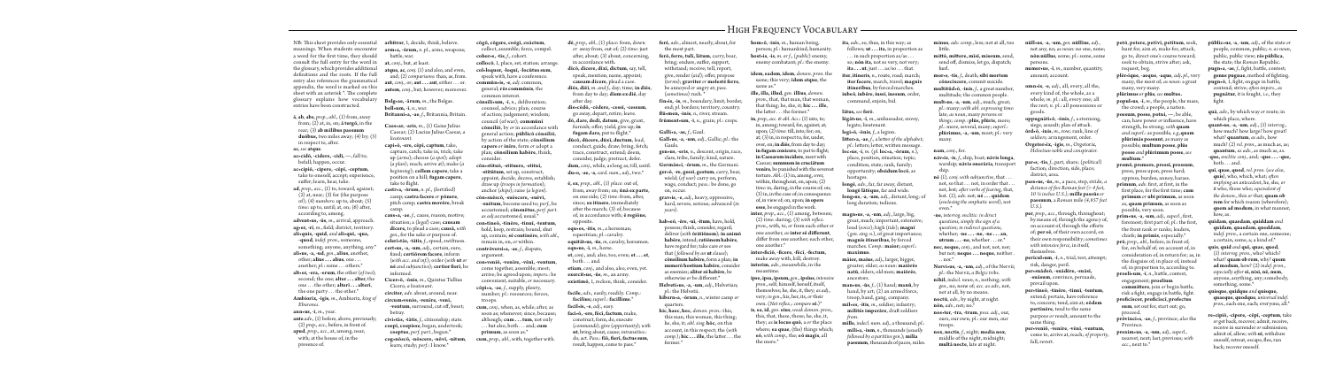NB: This sheet provides only essential **arbitror**, 1, decide, think, believe. meanings. When students encounter **arm•a, -ōrum,** *n. pl.*, arms, weapons; a word for the first time, they should consult the full entry for the word in the glossary, which provides additional definitions and the roots. If the full entry also references the grammatical appendix, the word is marked on this sheet with an asterisk  $*$ . The complete glossary explains how vocabulary entries have been constructed.

**ac•cipiō, -cipere, -cēpī, -ceptum**, take to oneself, accept; experience, suffer; learn, hear, take.

**ā**, **ab**, **abs**, *prep., abl.*, (1) from, away from; (2) at, in, on; **ā tergō,** in the rear; (3) **ab mīlibus passuum duōbus,** two miles away; (4) by; (5) in respect to, after. **ac**, *see* **atque**.

**ac•cidō, -cidere, -cidī, —**, fall to; befall; happen, occur.

another; *pl.*: some . . . others.\* **alt•er, -era, -erum**, the other (*of two*); second; the one; **alter . . . alter**, the one . . . the other; **alterī . . . alterī**, the one party . . . the other.\*

**ad**, *prep., acc.,* (1) to, toward, against; (2) at, near; (3) for (the purpose of); (4) *numbers*: up to, about; (5) *time*: up to, until; at, on;  $(6)$  after, according to, among.

**advent•us, -ūs**, *m.*, arrival, approach. ag•er, -rī, *m.*, field; district, territory. **ali•quis, -quid**, *and* **ali•quī, -qua,** 

**capi•ō, -ere, cēpī, captum**, take, capture, catch; take in, trick; take up (*arms*); choose (*a spot*); adopt (*a plan*); reach; arrive at); make (*a beginning*); **collem capere**, take a position on a hill; **fugam capere**, take to flight.

**-quod***, indef. pron.*, someone, something; anyone, anything, any.\* **ali•us, -a, -ud**, *gen.*, **alīus**, another, other; **alius . . . alius**, one . . .

 $\textbf{castr-}a, \textbf{-}\bar{\textbf{o}}\textbf{rum}, n. \textit{pl.}, (\textbf{fortified})$ camp; **castra facere** *or* **pōnere**, pitch camp; **castra movēre**, break camp.

**Ambiorīx, -īgis**, *m.*, Ambiorix, *king of Eburones*.

**ann•us, -ī**, *m.*, year.

-ventum, surround, cut off, beset; betray.

**ante** *adv.,* (1) before, above, previously; (2) *prep., acc.*, before, in front of*.* **apud**, *prep., acc.*, at, among, near, with; at the house of, in the presence of*.*

battle, war.

**at**, *conj.*, but, at least. **atque, ac**, *conj.* (1) and also, and even, and; (2) *comparisons*: than, as, from*.* **aut**, *conj.*, or; **aut . . . aut**, either . . . or. **autem**, *conj.*, but; however; moreover.

**Belg•ae, -ārum,** *m.*, the Belgae. **bell•um, -ī**, *n.*, war. **Britanni•a, -ae**, *f.*, Britannia, Britain.

**Caes•ar, -aris**, *m.*, (1) Gaius Julius Caesar; (2) Lucius Julius Caesar, *a lieutenant.*

> . but also, both . . . and; cum **cum**, *prep., abl.*, with, together with.

**diēs, diēī**, *m. and f.*, day; time; **in diēs**, from day to day; **diem ex diē**, day after day.

**dō, dare, dedī, datum**, give, grant, furnish; offer; yield, give up; **in** fugam dare, put to flight.\*

**caus•a, -ae**, *f.*, cause, reason, motive; situation; a (*legal*) case; **causam dīcere,** to plead a case; **causā,** *with gen.*, for the sake *or* purpose of. celeri•tās, -tātis, *f.*, speed, swiftness. **cert•us, -a, -um**, *adj.*, certain, sure, fi xed; **certiōrem facere**, inform (*with acc. and inf.*); order (*with* **ut** *or*  **nē** and subjunctive); **certior fieri**, be informed.

**Cicer•ō, -ōnis**, *m.*, Quintus Tullius Cicero, *a lieutenant*.

**circiter**, *adv.* about, around, near. **circum•venio, -venīre, -venī,** 

**cīvi•tās, -tātis**, *f.*, citizenship; state. **coepī, coepisse**, began, undertook; **coeptus**, *perf. part.*, begun.\* **cog•nōscō, -nōscere, -nōvī, -nitum**, learn; study; *perf.*: I know.\*

**cōgō, cōgere, coēgī, coāctum**, collect, assemble; force, compel. **cohor•s, -tis**, *f.*, cohort. **collocō**, 1, place, set, station; arrange. **col•loquor, -loquī, -locūtus sum**,

speak with, have a conference. **commūn•is, -e**, *adj.* common, general; **rēs commūnis**, the common interest.

> **hab•eō**, **-ēre**, **-uī**, **-itum**, have, hold, possess; think, consider, regard; deliver (*with* **ōrātiōnem**); **in animō habēre**, intend; **ratiōnem habēre**, have regard for; take care *or* see that (*followed by an* **ut** *clause*); **cōnsilium habēre**, form a plan; **in numerō hostium habēre**, consider as enemies; **aliter sē habēre**, be otherwise or be different.<sup>\*</sup>

**cōnsili•um, -ī**, *n.*, deliberation; counsel, advice; plan; course of action; judgement; wisdom; council (of war); **commūnī cōnsiliō**, by *or* in accordance with general action; **pūblicō cōnsiliō**, by action of the state; **cōnsilium** 

**capere** *or* **inīre**, form *or* adopt a plan; **cōnsilium habēre**, think,

consider.

**cōn•stituō, -stituere, -stituī, -stitūtum**, set up, construct, appoint, decide, decree, establish; draw up (*troops in formation*); anchor (*ships*); raise (*a legion*). **cōn•suēscō, -suēscere, -suēvī, -suētum**, become used to; *perf.*, be accustomed; **cōnsuētus**, *perf. part. as adj.*accustomed, usual.\* **con•tineō, -tinēre, -tinuī, -tentum**, hold, keep, restrain; bound, shut up, contain; **sē continēre**, *with abl.*, remain in, on, *or* within.

**ille, illa, illud**, *gen.* **illīus**, *demon. pron.*, that, that man, that woman, that thing; he, she, it; **hic . . . ille**, the latter . . . the former.\*

**contrōversi•a, -ae**, *f.*, dispute, argument. **con•veniō, -venīre, -vēnī, -ventum**, come together, assemble; meet; arrive; be agreed upon; *impers.*: be convenient, suitable, *or* necessary. **cōpi•a, -ae**, *f.*, supply, plenty, number; *pl.*: resources; forces, troops. **cum**, *conj.*, when, as, while; after, as soon as; whenever; since, because; although; **cum . . . tum**, not only

**prīmum**, as soon as.\*

**ita**, *adv*., so, thus, in this way; as follows; **ut . . . ita**, in proportion as . . . in such proportion as/as . . . so; **nōn ita**, not so very, not very; **ita...ut**, just  $\dots$  as/so  $\dots$  that.

**dē**, *prep., abl.,* (1) *place*: from, down *or* away from, out of; (2) *time*: just after, about;  $(3)$  about, concerning, in accordance with.

**dīcō, dīcere, dīxī, dictum**, say, tell, speak, mention; name, appoint; **causam dīcere**, plead a case.

**dis•cēdō, -cēdere, -cessī, -cessum**, go away, depart, retire; leave.

**dūcō, dūcere, dūxī, ductum**, lead, conduct, guide, draw; bring, fetch; trace, construct, extend; deem, consider, judge; protract, defer. dum, *conj.*, while, as long as; till, until **du•o, -ae, -a**, *card. num., adj.*, two.\*

**ē, ex**, *prep., abl.,* (1) *place*: out of, from, away from; on; **ūnā ex parte**, on one side; (2) *time*: from, after, since; **ex itinere**, immediately after the march;  $(3)$  of, because of, in accordance with; **ē regiōne**, opposite.

**equ•es, -itis***, m.*, a horseman; equestrian; *pl.*: cavalry. **equitāt•us, -ūs**, *m*, cavalry, horsemen.

**equ•us, -ī***, m.,* horse. **et**, *conj.*, and; also, too, even; **et . . . et**, both . . . and.

**etiam**, *conj.*, and also, also, even, yet. **exercit•us, -ūs**, *m.*, an army. **exīstimō**, 1, reckon, think, consider.  $n\bar{e}$  (1), *conj.* with subjunctive, that. not, so that . . . not, in order that . not, lest; *after verbs of fearing*, that, lest. (2), *adv.* not; **nē . . . quidem** (*enclosing the emphatic word*), not even.\*

**nec**, **neque,** *conj.*, and not, not, nor; but not; **neque** . . . **neque**, neither  $\ldots$  nor. $^*$ 

**facile**, *adv.*, easily, readily. *Comp.:* **facilius;** *superl.*: **facillime**.\* **facil•is, -e**, *adj.*, easy. **faci•ō, -ere, fēcī, factum**, make,

construct, form, do, execute (*commands*); give (*opportunity*); *with*  **ut**, bring about, cause; *intransitive.*: do, act. Pass.: fiō, fieri, factus sum, result, happen, come to pass.\*

**ferē**, *adv.*, almost, nearly, about, for the most part.

**ferō, ferre, tulī, lātum**, carry, bear, bring; endure, suffer, support, withstand; receive; tell, report, give, render (*aid*); offer, propose (*terms*); **graviter** *or* **molestē ferre**,

be annoyed *or* angry at; *pass.*  (*sometimes*) rush. \*

**fīn•is, -is**, *m.*, boundary, limit, border, end; *pl.* borders; territory, country. **fl ū•men, -inis**, *n.*, river, stream.

**frūment•um**, **-ī**, *n.*, grain; *pl.*: crops.

**Galli•a, -ae,** *f*., Gaul.

**Gall•us**, **-a**, **-um**, *adj.*, Gallic; *pl.*: the Gauls.

> **perīcul•um**, -**ī**, *n*., trial, test, attempt; risk, danger, peril.

**gen•us**, **-eris**, *n.*, descent, origin, race, class, tribe, family; kind, nature. **Germān•ī**, **-ōrum**, *m.*, the Germani.

**ger•ō**, **-re**, **gessī**, **gestum**, carry, bear, wield; (*of war*) carry on, perform, wage, conduct; *pass.:* be done, go on, occur.

hunt for, aim at, make for, attack, go to, direct one's course toward; seek to obtain, strive after; ask, request, beg.

**grav•is**, **-e**, *adj.*, heavy, oppressive, hard, severe, serious; advanced (*in years*).

**prīmum**, *adv*. first, at first, in the first place, for the first time; cum **prīmum** *or* **ubi prīmum**, as soon as, **quam prīmum**, as soon as possible, very soon.

**Helveti•us**, **-a, -um**, *adj.*, Helvetian; *pl.*: the Helvetii.

**hībern•a**, **-ōrum**, *n.*, winter camp *or*  quarters.

**hic**, **haec**, **hoc**, *demon. pron.*: this, this man, this woman, this thing; he, she, it; *abl. sing.* **hōc**, on this account, in this respect; the (*with*   $comp.$ ); **hic ... ille**, the latter ... the former.*\**

- **pūblic•us**, **-a**, **-um**, *adj.*, of the state *or* people, common, public; *n. as noun*, public, public view; **rēs pūblica**, the state; the *Roman* Republic.
- **pugn•a**, -ae, *f.*, fight, battle, contest genus pugnae, method of fighting

**pugn•ō**, 1, fight, engage in battle, contend; strive; *often impers.*, *as* **pugnātur**, it is fought*, i.e.,* they fight.

**hom•ō**, **-inis**, *m.*, human being, person; *pl.*: humankind, humanity.

**host•is**, **-is**, *m. or f.*, (*public*) enemy, enemy combatant; *pl.*: the enemy.

**īdem**, **eadem**, **idem**, *demon. pron*. the same; this very; **īdem atque**, the same as.\*

**in**, *prep., acc. & abl. Acc.*: (1) into, to; in, among; toward, for, against; at; upon; (2) *time*: till, into; for; on, at; (3) in, in respect to, for, under, over, on; **in diēs**, from day to day; **in fugam conicere**, to put to flight; **in Caesarem incidere**, meet with Caesar; **summum in cruciātum venīre**, be punished with the severest torture. *Abl.*: (1) in, among, over, within, throughout, on, upon; (2) *time*: in, during, in the course of; on; (3) in, in the case of; in consequence of, in view of; on, upon; **in opere esse**, be engaged in the work.

**inter**, *prep., acc.*, (1) among, between; (2) *time*: during; (3) *with reflex pron.*, with, to, *or* from each other *or*  one another, *as* **inter sē differunt**, differ from one another; each other, one another.\*

**inter•fi ciō**, **-fi cere**, **-fēcī**, **-fectum**, make away with, kill, destroy. **interim**, *adv.*, meanwhile, in the meantime.

**ipse, ipsa, ipsum,** *gen.*, **ipsīus**, *intensive pron.*, self; himself, herself, itself, themselves; he, she, it, they; *as adj.*, very; *in gen.*, his, her, its, *or* their own. (*Not refl ex.; compare* **sē**.)\*

**is**, **ea**, **id**, *gen*. **eius**, *weak demon. pron.*, this, that, these, those; he, she, it, they; *as* **is locus quō**, a *or* the place where; **ea quae**, (the) things which; **eō**, *with comp.*, the; **eō magis**, all the more.\*

**iter**, **itineris**, *n.*, route, road; march; **iter facere**, march, travel; **magnīs itineribus**, by forced marches.

**iubeō**, **iubēre**, **iussī**, **iussum**, order, command, enjoin, bid.

## **lātus,** *see* **ferō**.

**lēgāt•us**, **-ī**, *m.*, ambassador, envoy, legate; lieutenant.

**legi•ō**, **-ōnis**, *f.*, a legion.

litter•a, -ae, *f.*, a letter of the alphabet; *pl.*: letters; letter, written message.

**loc•us**, **-ī**, *m.* (*pl.* **loc•a, -ōrum**, *n.*), place, position, situation; topic; condition, state; rank, family; opportunity; **obsidum locō**, as hostages.

**longē**, *adv.*, far, far away, distant, **longē lātēque**, far and wide.

**long•us**, **-a**, **-um**, *adj.*, distant, long; of long duration; tedious.

**magn•us**, **-a**, **-um**, *adj.*, large, big, great, much; important, extensive; loud (*voice*); high (*tide*); **magnī** (*gen. sing. n.*), of great importance; **magnīs itineribus**, by forced marches. *Comp.*: **maior;** *superl.*: **maximus**.

- **māior, maius**, *adj*., larger, bigger, greater; older; *as noun*: **maiōrēs natū**, elders, old men; **maiōrēs**, ancestors.
- **man•us**, **-ūs**, *f.*, (1) hand; **manū**, by hand, by art; (2) an armed force, troop, band, gang, company.
- **mīl•es**, **-itis**, *m.*, soldier; infantry; **mīlitēs imperāre**, draft soldiers *fr om*.
- **mīlle**, *indecl. num. adj.*, a thousand; *pl.*: **mīli•a, -ium**, *n.*, thousands (*usually followed by a partitive gen.*); **mīlia passuum**, thousands of paces, miles.

**mitt ō, mitt ere, mīsī, missum**, send, send off, dismiss, let go, dispatch hurl.

**mor•s**, **-tis***, f.*, death; **sibi mortem cōnscīscere**, commit suicide.

**multitūd•ō**, **-inis**, *f.*, a great number, multitude; the common people.

**mult•us**, **-a**, **-um**, *adj.*, much, great; *pl.*: many; *with abl. expressing time*: late; *as noun*, many *persons* or *things; comp.*: **plūs, plūris**, more; *pl.*: more, several, many; *superl.*: **plūrimus, -a, -um**, most; *pl.*: very many.

**nam**, *conj.*, for. **nāv•is**, **-is**, *f.*, ship, boat; **nāvis longa**, warship; **nāvis onerāria**, transport ship.

**minus**, *adv. comp.*, less; not at all, too litt le. **nūll•us**, **-a**, **-um**, *gen.* **nūllīus**, *adj.*, not any, no; *as noun:* no one, none; **nōn nūllus**, some; *pl.*: some, some persons.

**-ne**, *interrog. enclitic: in direct questions, simply the sign of a question*; *in indirect questions,*  whether; **-ne . . . -ne**, **-ne . . . an**, **utrum . . . -ne**, whether . . . or.\*

**Nervi•us**, **-a, -um**, *adj.*, of the Nervii; *pl.*: the Nervii, *a Belgic tribe*.

**nihil**, *indecl. noun, n.,* nothing; *with gen.,* no, none of; *acc. as adv.,* not, not at all, by no means.

**noctū**, *adv.*, by night, at night. **nōn**, *adv.*, not; no.\*

**nos•ter**, **-tra**, **-trum**, *poss. adj.*, our, ours, our own; *pl.*: our men, our troops.

**nox**, **noctis**, *f.*, night; **media nox**, middle of the night, midnight; **multā nocte**, late at night.

**numer•us**, **-ī**, *m.*, number, quantity, amount; account.

**omn•is**, **-e**, *adj.*, all, every, all the, every kind of, the whole, as a whole; *m. pl.*: all, every one; all the rest; *n. pl.*: all possessions or goods.

**oppugnāti•ō**, **-ōnis**, *f.*, a storming, siege, assault; plan of attack. **ōrd•ō**, **-inis**, *m.*, row; rank, line *of soldiers;* arrangement, order.

**Orgetor•īx, -īgis**, *m.*, Orgetorix, *Helvetian noble and conspirator*.

**par•s**, **-tis**, *f.*, part, share; (*political*) faction; direction, side, place; district, area.

**pass•us, -ūs**, *m.*, a pace, step, stride, *a distance of five Roman feet (= 4 feet, 10 ¼ inches U.S.);* **mīlle passūs** *or* **passuum**, a *Roman* mile *(4,857 feet U.S.).*

**per**, *prep., acc.*, through, throughout; by means of, through the agency of on account of, through the efforts of; **per sē**, of their own accord, on their own responsibility; *sometimes with intensive force,* in itself, themselves.

**per•suādeō**, **-suādēre, -suāsī, -suāsum**, convince, persuade, prevail upon.

**per•tineō**, **-tinēre**, **-tinuī**, **-tentum**, extend; pertain, have reference to, concern; tend, aim at; **eōdem pertinēre**, tend to the same purpose *or* result, amount to the same thing.

**per•veniō**, **-venīre**, **-vēnī**, **-ventum**, come to, arrive at, reach; *of property*, fall, revert.

**petō**, **petere, petīvī, petītum**, seek,

**plēr•īque**, **-aeque**, **-aque**, *adj. pl.*, very many, the most of; *as noun*: a great many, very many.

**plūrimus** *or* **plūs**, *see* **multus. popul•us**, **-ī**, *m.*, the people, the mass, the crowd; a people, a nation.

**possum**, **posse**, **potui, —**, be able, can; have power *or* influence, have strength, be strong; *with* **quam**  *and superl.*: as possible*, e.g.,***quam plūrimās possunt**, as many as possible; **multum posse**, **plūs posse** *and* **plūrimum posse**, *see*  **multum**.\*

**premō**, **premere, pressī, pressum**, press, press upon, press hard; oppress, burden, annoy, harass.

**prīm•us**, **-a**, **-um**, *adj., superl*., fi rst, foremost; first part of; *pl.*: the firs the front rank *or* ranks; leaders, chiefs; **in prīmīs**, especially.\*

**prō**, *prep., abl.*, before, in front of; for, on behalf of; on account of, in consideration of, in return for; as, in the disguise of; in place of, instead of; in proportion to, according to.

proeli•um, -ī, *n.*, battle, contest, engagement; **proelium committere**, join *or* begin battle, risk a fight, engage in battle, fight

**profi cīscor**, **profi cīscī**, **profectus sum**, set out for, start out; go, proceed.

**prōvinci•a**, **-ae**, *f.*, province; *also* the Province*.*

**proxim•us**, **-a**, **-um**, *adj., superl.*, nearest, next; last, previous; *with acc.*, next to.\*

**quā**, *adv.*, by which way *or* route; in which place, where.

**quant•us**, **-a**, **-um**, *adj.*, (1) *interrog.*, how much? how large? how great what? **quantum**, *as adv.*, how much? (2) *rel. pron.*, as much as, as **quantum**, *as adv.*, as much as, as.

- **-que,** e*nclitic conj*., and; **-que . . . -que,** both . . . and.
- **quī**, **quae**, **quod**, *rel. pron.* (*see also*, **quis**), who, which, what; *often implying an antecedent*, he, she, *or* it who, those who; *equivalent of the demon.*, this *or* that; **quam ob rem** for which reason (wherefore) **quem ad modum**, in what manner, how, as.
- **quīdam**, **quaedam**, **quiddam** *and*  **quīdam**, **quaedam**, **quoddam**, *indef. pron.*, a certain one, someone; a certain, some, a; a kind of.\*
- **quis**, **quid** *and* **quī, quae, quod**, (1) *interrog. pron.*, who? which? what? **quam ob rem**, why? **quem ad modum**, how? (2) *indef. pron., especially aft er* **sī, nisi, nē, num**, anyone, anything, any; somebody, something, some.\*

**quisque**, **quidque** *and* **quisque, quaeque**, **quodque**, *universal indef. pron.*, each one, each; everyone, all.\*

**re•cipiō, -cipere, -cēpī, -ceptum**, take *or* get back, recover; admit, receive, receive in surrender *or* submission; admit of, allow; *with* **sē**, withdraw oneself, retreat, escape, flee, run back; recover oneself.

## High Frequency Vocabulary